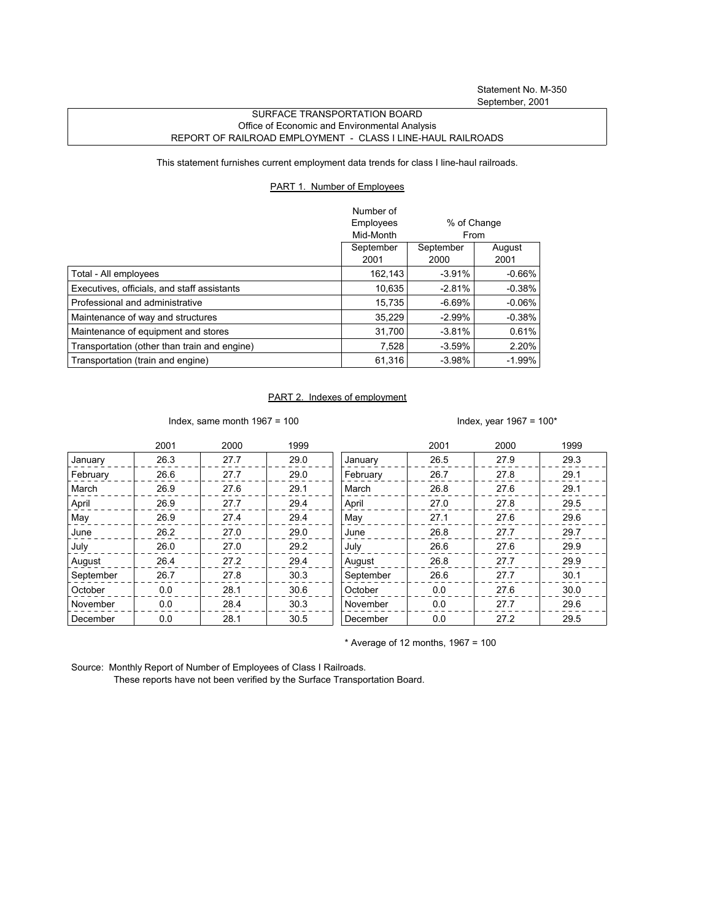## SURFACE TRANSPORTATION BOARD Office of Economic and Environmental Analysis REPORT OF RAILROAD EMPLOYMENT - CLASS I LINE-HAUL RAILROADS

This statement furnishes current employment data trends for class I line-haul railroads.

## PART 1. Number of Employees

|                                              | Number of<br>Employees<br>Mid-Month | % of Change<br>From |                |
|----------------------------------------------|-------------------------------------|---------------------|----------------|
|                                              | September<br>2001                   | September<br>2000   | August<br>2001 |
| Total - All employees                        | 162.143                             | $-3.91%$            | $-0.66\%$      |
| Executives, officials, and staff assistants  | 10,635                              | $-2.81%$            | $-0.38%$       |
| Professional and administrative              | 15.735                              | $-6.69\%$           | $-0.06\%$      |
| Maintenance of way and structures            | 35.229                              | $-2.99\%$           | $-0.38%$       |
| Maintenance of equipment and stores          | 31,700                              | $-3.81%$            | 0.61%          |
| Transportation (other than train and engine) | 7,528                               | $-3.59%$            | 2.20%          |
| Transportation (train and engine)            | 61,316                              | $-3.98%$            | -1.99%         |

## PART 2. Indexes of employment

Index, same month 1967 = 100  $\blacksquare$ 

|           | 2001 | 2000 | 1999 |           | 2001 | 2000 | 1999 |
|-----------|------|------|------|-----------|------|------|------|
| January   | 26.3 | 27.7 | 29.0 | January   | 26.5 | 27.9 | 29.3 |
| February  | 26.6 | 27.7 | 29.0 | February  | 26.7 | 27.8 | 29.1 |
| March     | 26.9 | 27.6 | 29.1 | March     | 26.8 | 27.6 | 29.1 |
| April     | 26.9 | 27.7 | 29.4 | April     | 27.0 | 27.8 | 29.5 |
| May       | 26.9 | 27.4 | 29.4 | May       | 27.1 | 27.6 | 29.6 |
| June      | 26.2 | 27.0 | 29.0 | June      | 26.8 | 27.7 | 29.7 |
| July      | 26.0 | 27.0 | 29.2 | July      | 26.6 | 27.6 | 29.9 |
| August    | 26.4 | 27.2 | 29.4 | August    | 26.8 | 27.7 | 29.9 |
| September | 26.7 | 27.8 | 30.3 | September | 26.6 | 27.7 | 30.1 |
| October   | 0.0  | 28.1 | 30.6 | October   | 0.0  | 27.6 | 30.0 |
| November  | 0.0  | 28.4 | 30.3 | November  | 0.0  | 27.7 | 29.6 |
| December  | 0.0  | 28.1 | 30.5 | December  | 0.0  | 27.2 | 29.5 |

 $*$  Average of 12 months, 1967 = 100

Source: Monthly Report of Number of Employees of Class I Railroads.

These reports have not been verified by the Surface Transportation Board.